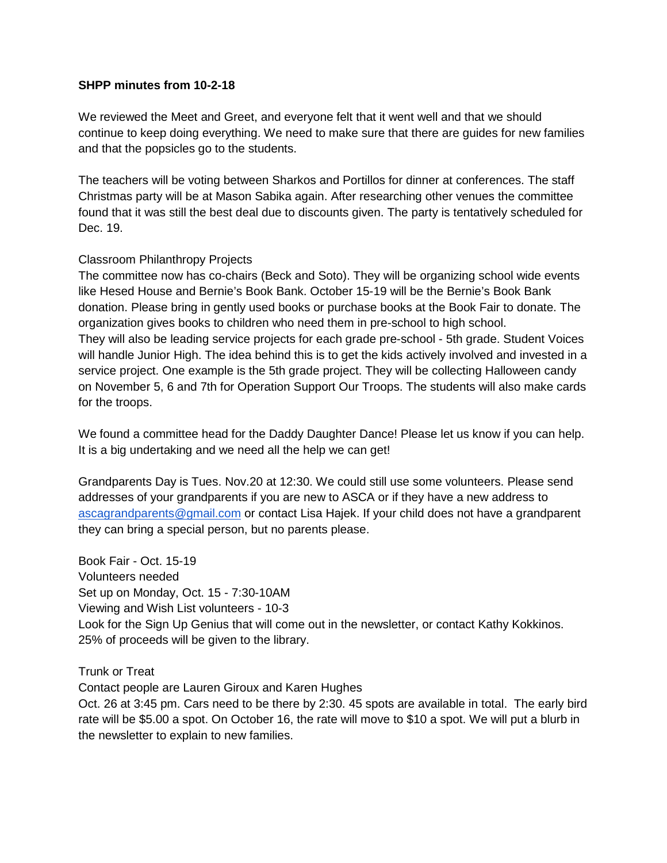## **SHPP minutes from 10-2-18**

We reviewed the Meet and Greet, and everyone felt that it went well and that we should continue to keep doing everything. We need to make sure that there are guides for new families and that the popsicles go to the students.

The teachers will be voting between Sharkos and Portillos for dinner at conferences. The staff Christmas party will be at Mason Sabika again. After researching other venues the committee found that it was still the best deal due to discounts given. The party is tentatively scheduled for Dec. 19.

## Classroom Philanthropy Projects

The committee now has co-chairs (Beck and Soto). They will be organizing school wide events like Hesed House and Bernie's Book Bank. October 15-19 will be the Bernie's Book Bank donation. Please bring in gently used books or purchase books at the Book Fair to donate. The organization gives books to children who need them in pre-school to high school. They will also be leading service projects for each grade pre-school - 5th grade. Student Voices will handle Junior High. The idea behind this is to get the kids actively involved and invested in a service project. One example is the 5th grade project. They will be collecting Halloween candy on November 5, 6 and 7th for Operation Support Our Troops. The students will also make cards for the troops.

We found a committee head for the Daddy Daughter Dance! Please let us know if you can help. It is a big undertaking and we need all the help we can get!

Grandparents Day is Tues. Nov.20 at 12:30. We could still use some volunteers. Please send addresses of your grandparents if you are new to ASCA or if they have a new address to [ascagrandparents@gmail.com](mailto:ascagrandparents@gmail.com) or contact Lisa Hajek. If your child does not have a grandparent they can bring a special person, but no parents please.

Book Fair - Oct. 15-19 Volunteers needed Set up on Monday, Oct. 15 - 7:30-10AM Viewing and Wish List volunteers - 10-3 Look for the Sign Up Genius that will come out in the newsletter, or contact Kathy Kokkinos. 25% of proceeds will be given to the library.

Trunk or Treat

Contact people are Lauren Giroux and Karen Hughes

Oct. 26 at 3:45 pm. Cars need to be there by 2:30. 45 spots are available in total. The early bird rate will be \$5.00 a spot. On October 16, the rate will move to \$10 a spot. We will put a blurb in the newsletter to explain to new families.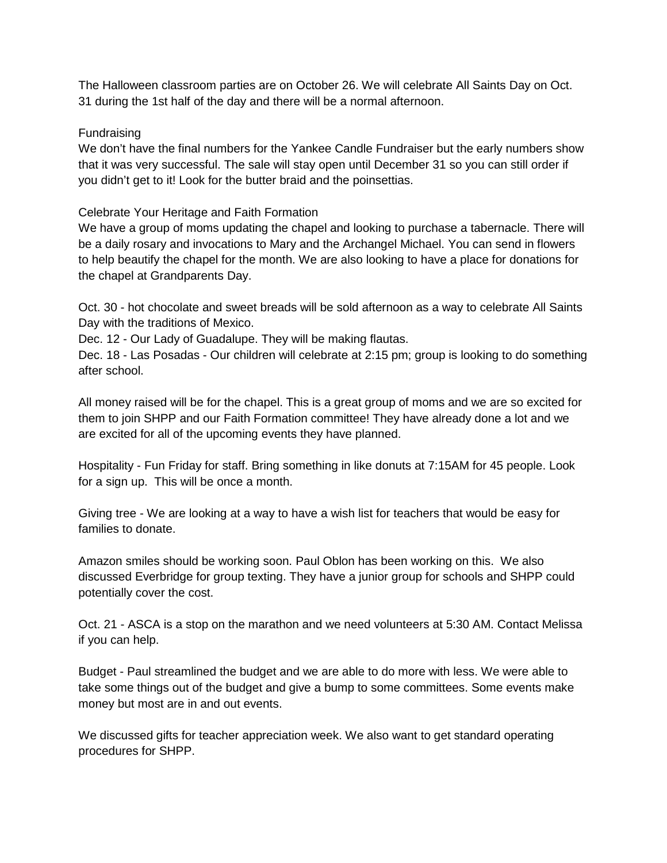The Halloween classroom parties are on October 26. We will celebrate All Saints Day on Oct. 31 during the 1st half of the day and there will be a normal afternoon.

## Fundraising

We don't have the final numbers for the Yankee Candle Fundraiser but the early numbers show that it was very successful. The sale will stay open until December 31 so you can still order if you didn't get to it! Look for the butter braid and the poinsettias.

Celebrate Your Heritage and Faith Formation

We have a group of moms updating the chapel and looking to purchase a tabernacle. There will be a daily rosary and invocations to Mary and the Archangel Michael. You can send in flowers to help beautify the chapel for the month. We are also looking to have a place for donations for the chapel at Grandparents Day.

Oct. 30 - hot chocolate and sweet breads will be sold afternoon as a way to celebrate All Saints Day with the traditions of Mexico.

Dec. 12 - Our Lady of Guadalupe. They will be making flautas.

Dec. 18 - Las Posadas - Our children will celebrate at 2:15 pm; group is looking to do something after school.

All money raised will be for the chapel. This is a great group of moms and we are so excited for them to join SHPP and our Faith Formation committee! They have already done a lot and we are excited for all of the upcoming events they have planned.

Hospitality - Fun Friday for staff. Bring something in like donuts at 7:15AM for 45 people. Look for a sign up. This will be once a month.

Giving tree - We are looking at a way to have a wish list for teachers that would be easy for families to donate.

Amazon smiles should be working soon. Paul Oblon has been working on this. We also discussed Everbridge for group texting. They have a junior group for schools and SHPP could potentially cover the cost.

Oct. 21 - ASCA is a stop on the marathon and we need volunteers at 5:30 AM. Contact Melissa if you can help.

Budget - Paul streamlined the budget and we are able to do more with less. We were able to take some things out of the budget and give a bump to some committees. Some events make money but most are in and out events.

We discussed gifts for teacher appreciation week. We also want to get standard operating procedures for SHPP.